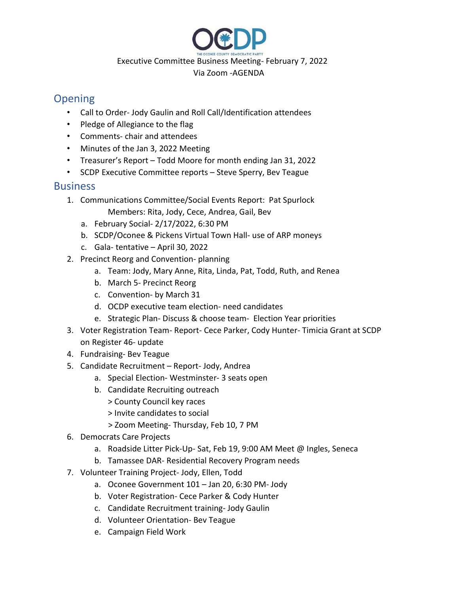

#### Executive Committee Business Meeting- February 7, 2022

### Via Zoom -AGENDA

## **Opening**

- Call to Order- Jody Gaulin and Roll Call/Identification attendees
- Pledge of Allegiance to the flag
- Comments- chair and attendees
- Minutes of the Jan 3, 2022 Meeting
- Treasurer's Report Todd Moore for month ending Jan 31, 2022
- SCDP Executive Committee reports Steve Sperry, Bev Teague

## **Business**

- 1. Communications Committee/Social Events Report: Pat Spurlock Members: Rita, Jody, Cece, Andrea, Gail, Bev
	- a. February Social- 2/17/2022, 6:30 PM
	- b. SCDP/Oconee & Pickens Virtual Town Hall- use of ARP moneys
	- c. Gala- tentative April 30, 2022
- 2. Precinct Reorg and Convention- planning
	- a. Team: Jody, Mary Anne, Rita, Linda, Pat, Todd, Ruth, and Renea
	- b. March 5- Precinct Reorg
	- c. Convention- by March 31
	- d. OCDP executive team election- need candidates
	- e. Strategic Plan- Discuss & choose team- Election Year priorities
- 3. Voter Registration Team- Report- Cece Parker, Cody Hunter- Timicia Grant at SCDP on Register 46- update
- 4. Fundraising- Bev Teague
- 5. Candidate Recruitment Report- Jody, Andrea
	- a. Special Election- Westminster- 3 seats open
	- b. Candidate Recruiting outreach
		- > County Council key races
		- > Invite candidates to social
		- > Zoom Meeting- Thursday, Feb 10, 7 PM
- 6. Democrats Care Projects
	- a. Roadside Litter Pick-Up- Sat, Feb 19, 9:00 AM Meet @ Ingles, Seneca
	- b. Tamassee DAR- Residential Recovery Program needs
- 7. Volunteer Training Project- Jody, Ellen, Todd
	- a. Oconee Government 101 Jan 20, 6:30 PM- Jody
	- b. Voter Registration- Cece Parker & Cody Hunter
	- c. Candidate Recruitment training- Jody Gaulin
	- d. Volunteer Orientation- Bev Teague
	- e. Campaign Field Work